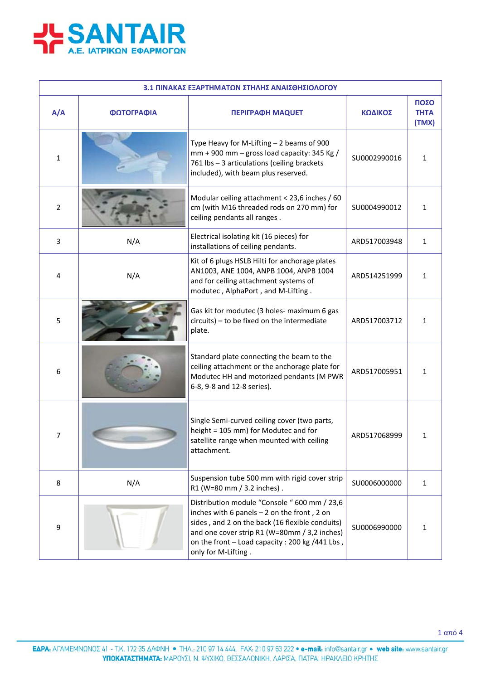

| 3.1 ΠΙΝΑΚΑΣ ΕΞΑΡΤΗΜΑΤΩΝ ΣΤΗΛΗΣ ΑΝΑΙΣΘΗΣΙΟΛΟΓΟΥ |            |                                                                                                                                                                                                                                                                           |              |                              |
|------------------------------------------------|------------|---------------------------------------------------------------------------------------------------------------------------------------------------------------------------------------------------------------------------------------------------------------------------|--------------|------------------------------|
| A/A                                            | ΦΩΤΟΓΡΑΦΙΑ | <b>ΠΕΡΙΓΡΑΦΗ ΜΑQUET</b>                                                                                                                                                                                                                                                   | ΚΩΔΙΚΟΣ      | ΠΟΣΟ<br><b>THTA</b><br>(TMX) |
| 1                                              |            | Type Heavy for M-Lifting - 2 beams of 900<br>$mm + 900$ mm - gross load capacity: 345 Kg /<br>761 lbs - 3 articulations (ceiling brackets<br>included), with beam plus reserved.                                                                                          | SU0002990016 | $\mathbf{1}$                 |
| $\overline{2}$                                 |            | Modular ceiling attachment < 23,6 inches / 60<br>cm (with M16 threaded rods on 270 mm) for<br>ceiling pendants all ranges.                                                                                                                                                | SU0004990012 | 1                            |
| 3                                              | N/A        | Electrical isolating kit (16 pieces) for<br>installations of ceiling pendants.                                                                                                                                                                                            | ARD517003948 | $\mathbf{1}$                 |
| 4                                              | N/A        | Kit of 6 plugs HSLB Hilti for anchorage plates<br>AN1003, ANE 1004, ANPB 1004, ANPB 1004<br>and for ceiling attachment systems of<br>modutec, AlphaPort, and M-Lifting.                                                                                                   | ARD514251999 | $\mathbf{1}$                 |
| 5                                              |            | Gas kit for modutec (3 holes- maximum 6 gas<br>circuits) - to be fixed on the intermediate<br>plate.                                                                                                                                                                      | ARD517003712 | 1                            |
| 6                                              |            | Standard plate connecting the beam to the<br>ceiling attachment or the anchorage plate for<br>Modutec HH and motorized pendants (M PWR<br>6-8, 9-8 and 12-8 series).                                                                                                      | ARD517005951 | 1                            |
| $\overline{7}$                                 |            | Single Semi-curved ceiling cover (two parts,<br>height = 105 mm) for Modutec and for<br>satellite range when mounted with ceiling<br>attachment.                                                                                                                          | ARD517068999 | 1                            |
| 8                                              | N/A        | Suspension tube 500 mm with rigid cover strip<br>R1 (W=80 mm / 3.2 inches).                                                                                                                                                                                               | SU0006000000 | $\mathbf{1}$                 |
| 9                                              |            | Distribution module "Console " 600 mm / 23,6<br>inches with 6 panels $-2$ on the front, 2 on<br>sides, and 2 on the back (16 flexible conduits)<br>and one cover strip R1 (W=80mm / 3,2 inches)<br>on the front - Load capacity : 200 kg /441 Lbs,<br>only for M-Lifting. | SU0006990000 | $\mathbf{1}$                 |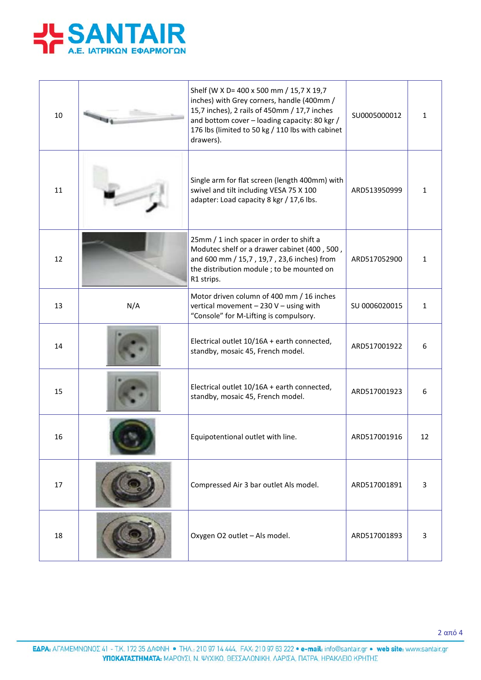

| 10 |     | Shelf (W X D= 400 x 500 mm / 15,7 X 19,7<br>inches) with Grey corners, handle (400mm /<br>15,7 inches), 2 rails of 450mm / 17,7 inches<br>and bottom cover - loading capacity: 80 kgr /<br>176 lbs (limited to 50 kg / 110 lbs with cabinet<br>drawers). | SU0005000012  | 1            |
|----|-----|----------------------------------------------------------------------------------------------------------------------------------------------------------------------------------------------------------------------------------------------------------|---------------|--------------|
| 11 |     | Single arm for flat screen (length 400mm) with<br>swivel and tilt including VESA 75 X 100<br>adapter: Load capacity 8 kgr / 17,6 lbs.                                                                                                                    | ARD513950999  | $\mathbf{1}$ |
| 12 |     | 25mm / 1 inch spacer in order to shift a<br>Modutec shelf or a drawer cabinet (400, 500,<br>and 600 mm / 15,7, 19,7, 23,6 inches) from<br>the distribution module ; to be mounted on<br>R1 strips.                                                       | ARD517052900  | 1            |
| 13 | N/A | Motor driven column of 400 mm / 16 inches<br>vertical movement - 230 V - using with<br>"Console" for M-Lifting is compulsory.                                                                                                                            | SU 0006020015 | $\mathbf{1}$ |
| 14 |     | Electrical outlet 10/16A + earth connected,<br>standby, mosaic 45, French model.                                                                                                                                                                         | ARD517001922  | 6            |
| 15 |     | Electrical outlet 10/16A + earth connected,<br>standby, mosaic 45, French model.                                                                                                                                                                         | ARD517001923  | 6            |
| 16 |     | Equipotentional outlet with line.                                                                                                                                                                                                                        | ARD517001916  | 12           |
| 17 |     | Compressed Air 3 bar outlet Als model.                                                                                                                                                                                                                   | ARD517001891  | 3            |
| 18 |     | Oxygen O2 outlet - Als model.                                                                                                                                                                                                                            | ARD517001893  | 3            |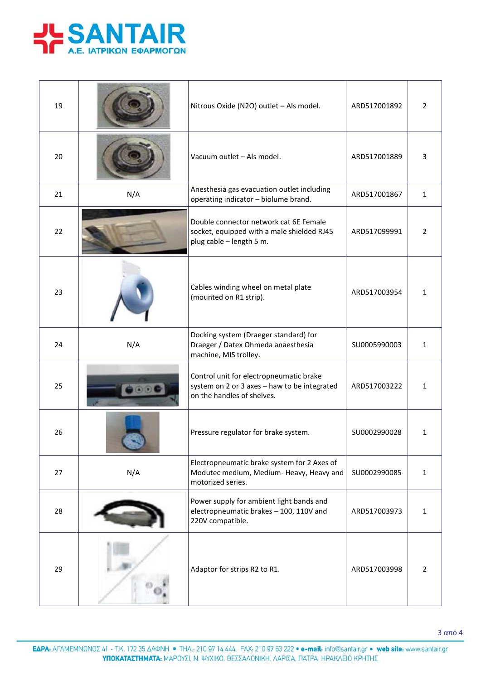

| 19 |     | Nitrous Oxide (N2O) outlet - Als model.                                                                               | ARD517001892 | $\overline{2}$ |
|----|-----|-----------------------------------------------------------------------------------------------------------------------|--------------|----------------|
| 20 |     | Vacuum outlet - Als model.                                                                                            | ARD517001889 | 3              |
| 21 | N/A | Anesthesia gas evacuation outlet including<br>operating indicator - biolume brand.                                    | ARD517001867 | $\mathbf{1}$   |
| 22 |     | Double connector network cat 6E Female<br>socket, equipped with a male shielded RJ45<br>plug cable - length 5 m.      | ARD517099991 | $\overline{2}$ |
| 23 |     | Cables winding wheel on metal plate<br>(mounted on R1 strip).                                                         | ARD517003954 | $\mathbf{1}$   |
| 24 | N/A | Docking system (Draeger standard) for<br>Draeger / Datex Ohmeda anaesthesia<br>machine, MIS trolley.                  | SU0005990003 | $\mathbf{1}$   |
| 25 |     | Control unit for electropneumatic brake<br>system on 2 or 3 axes - haw to be integrated<br>on the handles of shelves. | ARD517003222 | 1              |
| 26 |     | Pressure regulator for brake system.                                                                                  | SU0002990028 | 1              |
| 27 | N/A | Electropneumatic brake system for 2 Axes of<br>Modutec medium, Medium-Heavy, Heavy and<br>motorized series.           | SU0002990085 | $\mathbf{1}$   |
| 28 |     | Power supply for ambient light bands and<br>electropneumatic brakes - 100, 110V and<br>220V compatible.               | ARD517003973 | $\mathbf{1}$   |
| 29 |     | Adaptor for strips R2 to R1.                                                                                          | ARD517003998 | $\overline{2}$ |